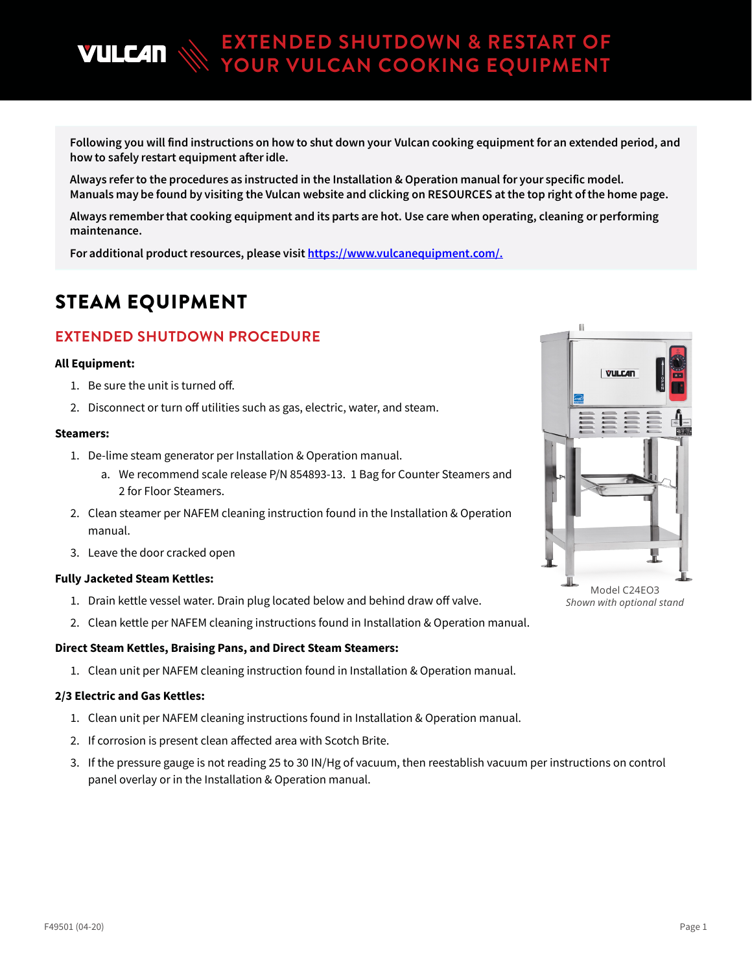Following you will find instructions on how to shut down your Vulcan cooking equipment for an extended period, and how to safely restart equipment after idle.

**EXTENDED SHUTDOWN & RESTART OF YOUR VULCAN COOKING EQUIPMENT**

Always refer to the procedures as instructed in the Installation & Operation manual for your specific model. Manuals may be found by visiting the Vulcan website and clicking on RESOURCES at the top right of the home page.

Always remember that cooking equipment and its parts are hot. Use care when operating, cleaning or performing maintenance.

For additional product resources, please visit [https://www.vulcanequipment.com/.](https://nam03.safelinks.protection.outlook.com/?url=https%3A%2F%2Fwww.vulcanequipment.com%2F&data=02%7C01%7Cmeghan.hurst%40itwce.com%7C05d407fb5bb5439c25ec08d7dc96682e%7Cb4815476297140ff934ccae656660405%7C0%7C0%7C637220410863877586&sdata=oUVqIeZZmZ4bccNmNl0GFQL2ltvUILY%2Fz8SzGFrmgb0%3D&reserved=0)

## STEAM EQUIPMENT

**VULC4N** 

## **EXTENDED SHUTDOWN PROCEDURE**

### **All Equipment:**

- 1. Be sure the unit is turned off.
- 2. Disconnect or turn off utilities such as gas, electric, water, and steam.

### **Steamers:**

- 1. De-lime steam generator per Installation & Operation manual.
	- a. We recommend scale release P/N 854893-13. 1 Bag for Counter Steamers and 2 for Floor Steamers.
- 2. Clean steamer per NAFEM cleaning instruction found in the Installation & Operation manual.
- 3. Leave the door cracked open

### **Fully Jacketed Steam Kettles:**

- 1. Drain kettle vessel water. Drain plug located below and behind draw off valve.
- 2. Clean kettle per NAFEM cleaning instructions found in Installation & Operation manual.

### **Direct Steam Kettles, Braising Pans, and Direct Steam Steamers:**

1. Clean unit per NAFEM cleaning instruction found in Installation & Operation manual.

### **2/3 Electric and Gas Kettles:**

- 1. Clean unit per NAFEM cleaning instructions found in Installation & Operation manual.
- 2. If corrosion is present clean affected area with Scotch Brite.
- 3. If the pressure gauge is not reading 25 to 30 IN/Hg of vacuum, then reestablish vacuum per instructions on control panel overlay or in the Installation & Operation manual.



Model C24EO3 *Shown with optional stand*